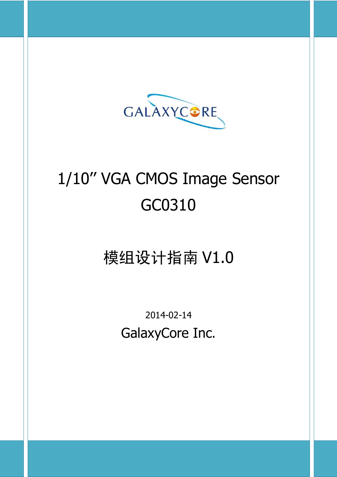

# 1/10'' VGA CMOS Image Sensor GC0310

## 模组设计指南 V1.0

2014-02-14 GalaxyCore Inc.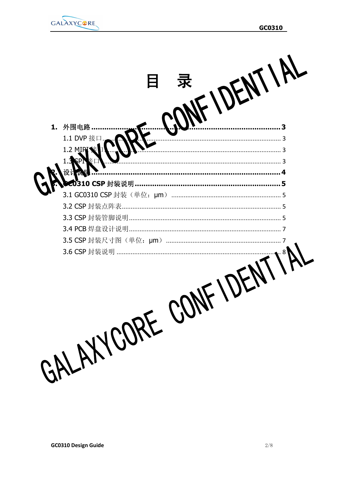



目 录

| 1. 外围电路…………………………………………………………………………………3 |  |
|-----------------------------------------|--|
|                                         |  |
|                                         |  |
|                                         |  |
|                                         |  |
|                                         |  |
|                                         |  |
|                                         |  |
|                                         |  |
|                                         |  |
|                                         |  |
|                                         |  |
|                                         |  |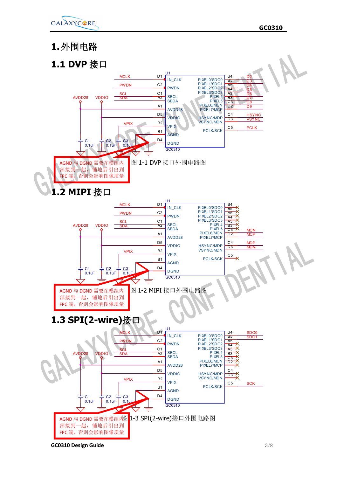

### **1.外围电路**





**GC0310 Design Guide** 3/8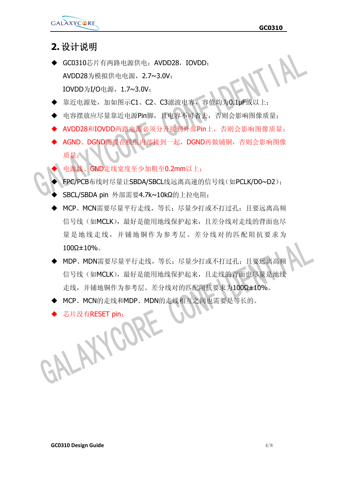**GC0310**

#### **2.设计说明**

- ◆ GC0310芯片有两路电源供电: AVDD28, IOVDD; AVDD28为模拟供电电源,2.7~3.0V; IOVDD为I/O电源,1.7~3.0V;
- ◆ 靠近电源处,加如图示C1、C2、C3滤波电容,容值均为0.1µF或以上;
- 电容摆放应尽量靠近电源Pin脚,且电容不可省去,否则会影响图像质量;
- AVDD28和IOVDD两路电源必须分开接到外部Pin上, 否则会影响图像质量;
- AGND、DGND需要在模组内部接到一起,DGND再做铺铜,否则会影响图像 质量;
	- 电源线、GND走线宽度至少加粗至0.2mm以上;
	- FPC/PCB布线时尽量让SBDA/SBCL线远离高速的信号线(如PCLK/D0~D2);
- SBCL/SBDA pin 外部需要4.7k~10kΩ的上拉电阻;
- MCP、MCN需要尽量平行走线,等长;尽量少打或不打过孔;且要远离高频 信号线(如MCLK), 最好是能用地线保护起来, 且差分线对走线的背面也尽 量是地线走线,并铺地铜作为参考层。差分线对的匹配阻抗要求为  $100Ω±10%$
- · MDP、MDN需要尽量平行走线, 等长; 尽量少打或不打过孔; 且要远离高频 信号线(如MCLK),最好是能用地线保护起来,且走线的背面也尽量是地线 走线,并铺地铜作为参考层。差分线对的匹配阻抗要求为100Ω±10%。
- MCP、MCN的走线和MDP、MDN的走线相互之间也需要是等长的。
- TEST pin;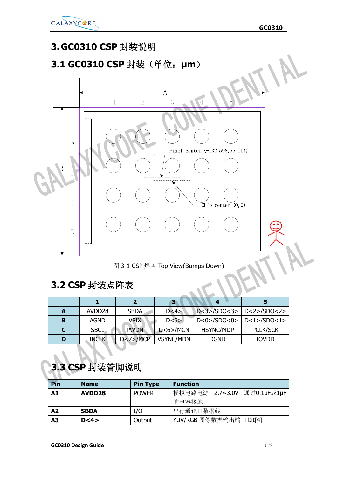

### **3. GC0310 CSP 封装说明 3.1 GC0310 CSP 封装(单位:μm)**  $\overline{A}$  $\mathbf{1}$  $\overline{2}$ 3  $\overline{4}$  $\overline{5}$  $\boldsymbol{A}$ Pixel center (-132.598, 55.114)  $\overline{B}$  $\rm{B}$  $\overline{C}$  $\widetilde{\text{Chip center}}(0,0)$  ${\bf D}$

图 3-1 CSP 焊盘 Top View(Bumps Down)

### **3.2 CSP 封装点阵表**

|   | AVDD <sub>28</sub> | <b>SBDA</b>                  | D < 4            | $D <3$ >/SDO<3>   D<2>/SDO<2>  |                 |
|---|--------------------|------------------------------|------------------|--------------------------------|-----------------|
| в | <b>AGND</b>        | <b>VPIX</b>                  | D < 5            | $D < 0$ >/SDO<0>   D<1>/SDO<1> |                 |
|   | <b>SBCL</b>        | <b>PWDN</b><br>$D < 6$ >/MCN |                  | <b>HSYNC/MDP</b>               | <b>PCLK/SCK</b> |
| D | <b>INCLK</b>       | $D < 7$ /MCP                 | <b>VSYNC/MDN</b> | <b>DGND</b>                    | <b>IOVDD</b>    |

### **3.3 CSP 封装管脚说明**

| Pin            | <b>Name</b>        | <b>Pin Type</b> | <b>Function</b>               |
|----------------|--------------------|-----------------|-------------------------------|
| A1             | AVDD <sub>28</sub> | <b>POWER</b>    | 模拟电路电源: 2.7~3.0V, 通过0.1µF或1µF |
|                |                    |                 | 的电容接地                         |
| A <sub>2</sub> | <b>SBDA</b>        | I/O             | 串行通讯口数据线                      |
| A3             | D < 4              | Output          | YUV/RGB 图像数据输出端口 bit[4]       |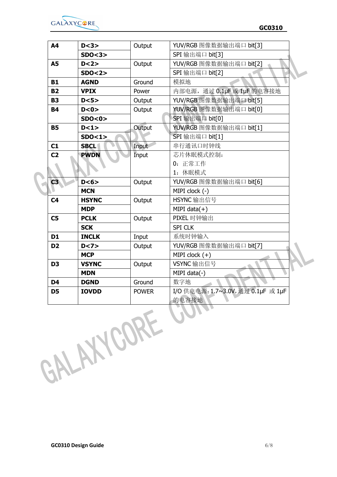

| <b>A4</b>      | D < 3        | Output       | YUV/RGB 图像数据输出端口 bit[3]            |  |
|----------------|--------------|--------------|------------------------------------|--|
|                | SDO < 3      |              | SPI 输出端口 bit[3]                    |  |
| <b>A5</b>      | D < 2>       | Output       | YUV/RGB图像数据输出端口 bit[2]             |  |
|                | SDO < 2>     |              | SPI 输出端口 bit[2]                    |  |
| <b>B1</b>      | <b>AGND</b>  | Ground       | 模拟地                                |  |
| <b>B2</b>      | <b>VPIX</b>  | Power        | 内部电源, 通过 0.1µF 或 1µF 的电容接地         |  |
| <b>B3</b>      | D < 5        | Output       | YUV/RGB图像数据输出端口 bit[5]             |  |
| <b>B4</b>      | D < 0 >      | Output       | YUV/RGB 图像数据输出端口 bit[0]            |  |
|                | SDO < 0 >    |              | SPI 输出端口 bit[0]                    |  |
| <b>B5</b>      | D < 1>       | Output       | YUV/RGB 图像数据输出端口 bit[1]            |  |
|                | SDO < 1      |              | SPI 输出端口 bit[1]                    |  |
| C1             | <b>SBCL</b>  | Input        | 串行通讯口时钟线                           |  |
| C <sub>2</sub> | <b>PWDN</b>  | Input        | 芯片休眠模式控制:                          |  |
|                |              |              | 0: 正常工作                            |  |
|                |              |              | 1: 休眠模式                            |  |
| C3             | D < 6        | Output       | YUV/RGB 图像数据输出端口 bit[6]            |  |
|                | <b>MCN</b>   |              | MIPI clock (-)                     |  |
| C <sub>4</sub> | <b>HSYNC</b> | Output       | HSYNC 输出信号                         |  |
|                | <b>MDP</b>   |              | MIPI data $(+)$                    |  |
| C <sub>5</sub> | <b>PCLK</b>  | Output       | PIXEL 时钟输出                         |  |
|                | <b>SCK</b>   |              | <b>SPI CLK</b>                     |  |
| D1             | <b>INCLK</b> | Input        | 系统时钟输入                             |  |
| D <sub>2</sub> | D < 7        | Output       | YUV/RGB 图像数据输出端口 bit[7]            |  |
|                | <b>MCP</b>   |              | MIPI clock $(+)$                   |  |
| D <sub>3</sub> | <b>VSYNC</b> | Output       | VSYNC 输出信号                         |  |
|                | <b>MDN</b>   |              | $MIPI data(-)$                     |  |
| D <sub>4</sub> | <b>DGND</b>  | Ground       | 数字地                                |  |
| D <sub>5</sub> | <b>IOVDD</b> | <b>POWER</b> | I/O 供电电源: 1.7~3.0V, 通过 0.1μF 或 1μF |  |
|                |              |              | 的电容接地                              |  |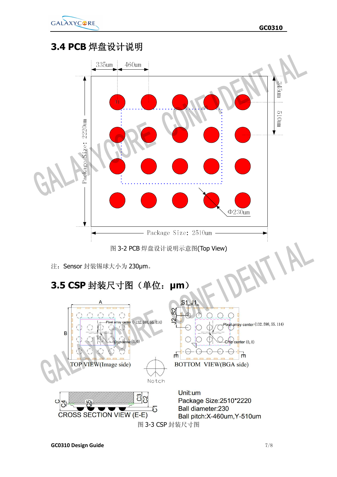

### **3.4 PCB 焊盘设计说明**



Notch

b

 $\frac{3}{2}$ 

Unit:um Package Size: 2510\*2220 **Ball diameter:230** Ball pitch: X-460um, Y-510um 图 3-3 CSP 封装尺寸图

 $\overline{10}$ 

**CROSS SECTION VIEW (E-E)** 

 $\mathbf C$